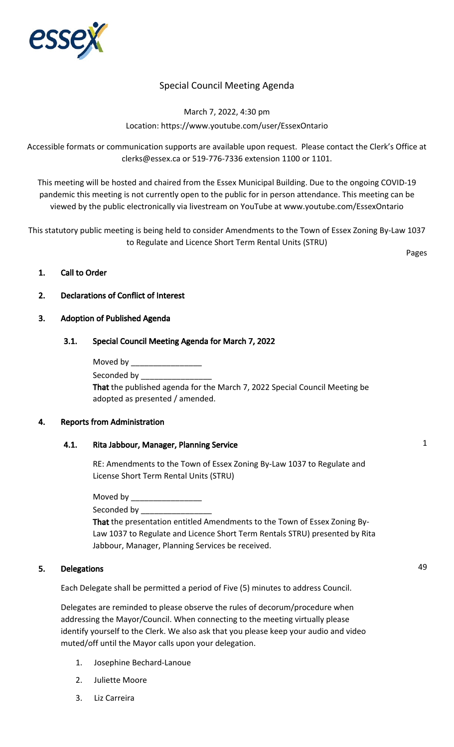

# Special Council Meeting Agenda

March 7, 2022, 4:30 pm Location: https://www.youtube.com/user/EssexOntario

Accessible formats or communication supports are available upon request. Please contact the Clerk's Office at clerks@essex.ca or 519-776-7336 extension 1100 or 1101.

This meeting will be hosted and chaired from the Essex Municipal Building. Due to the ongoing COVID-19 pandemic this meeting is not currently open to the public for in person attendance. This meeting can be viewed by the public electronically via livestream on YouTube at www.youtube.com/EssexOntario

This statutory public meeting is being held to consider Amendments to the Town of Essex Zoning By-Law 1037 to Regulate and Licence Short Term Rental Units (STRU)

Pages

## 1. Call to Order

## 2. Declarations of Conflict of Interest

#### 3. Adoption of Published Agenda

## 3.1. Special Council Meeting Agenda for March 7, 2022

Moved by \_\_\_\_\_\_\_\_\_\_\_\_\_\_\_\_\_\_\_\_

Seconded by

That the published agenda for the March 7, 2022 Special Council Meeting be adopted as presented / amended.

#### 4. Reports from Administration

# 4.1. Rita Jabbour, Manager, Planning Service 1

RE: Amendments to the Town of Essex Zoning By-Law 1037 to Regulate and License Short Term Rental Units (STRU)

Moved by Seconded by That the presentation entitled Amendments to the Town of Essex Zoning By-Law 1037 to Regulate and Licence Short Term Rentals STRU) presented by Rita Jabbour, Manager, Planning Services be received.

# 5. Delegations 49

Each Delegate shall be permitted a period of Five (5) minutes to address Council.

Delegates are reminded to please observe the rules of decorum/procedure when addressing the Mayor/Council. When connecting to the meeting virtually please identify yourself to the Clerk. We also ask that you please keep your audio and video muted/off until the Mayor calls upon your delegation.

- 1. Josephine Bechard-Lanoue
- 2. Juliette Moore
- 3. Liz Carreira